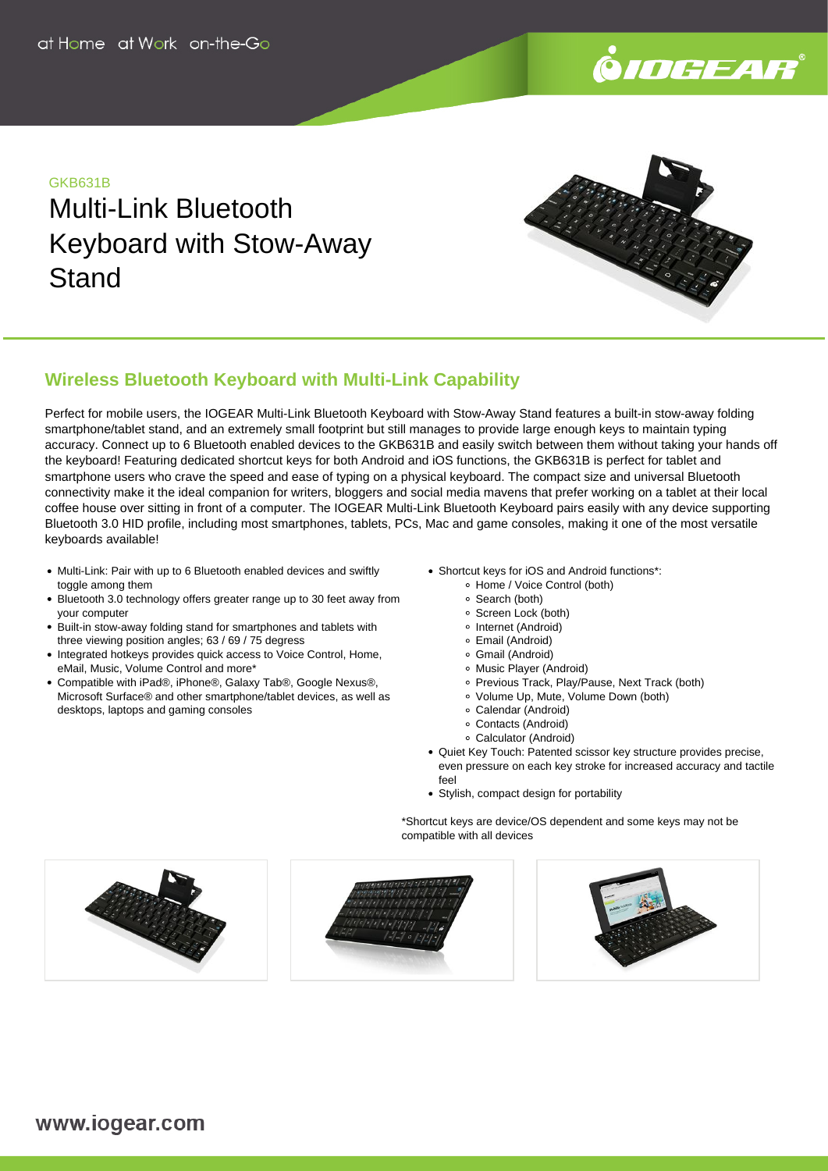

## GKB631B

Multi-Link Bluetooth Keyboard with Stow-Away **Stand** 



# **Wireless Bluetooth Keyboard with Multi-Link Capability**

Perfect for mobile users, the IOGEAR Multi-Link Bluetooth Keyboard with Stow-Away Stand features a built-in stow-away folding smartphone/tablet stand, and an extremely small footprint but still manages to provide large enough keys to maintain typing accuracy. Connect up to 6 Bluetooth enabled devices to the GKB631B and easily switch between them without taking your hands off the keyboard! Featuring dedicated shortcut keys for both Android and iOS functions, the GKB631B is perfect for tablet and smartphone users who crave the speed and ease of typing on a physical keyboard. The compact size and universal Bluetooth connectivity make it the ideal companion for writers, bloggers and social media mavens that prefer working on a tablet at their local coffee house over sitting in front of a computer. The IOGEAR Multi-Link Bluetooth Keyboard pairs easily with any device supporting Bluetooth 3.0 HID profile, including most smartphones, tablets, PCs, Mac and game consoles, making it one of the most versatile keyboards available!

- Multi-Link: Pair with up to 6 Bluetooth enabled devices and swiftly toggle among them
- Bluetooth 3.0 technology offers greater range up to 30 feet away from your computer
- Built-in stow-away folding stand for smartphones and tablets with three viewing position angles; 63 / 69 / 75 degress
- Integrated hotkeys provides quick access to Voice Control, Home, eMail, Music, Volume Control and more\*
- Compatible with iPad®, iPhone®, Galaxy Tab®, Google Nexus®, Microsoft Surface® and other smartphone/tablet devices, as well as desktops, laptops and gaming consoles
- Shortcut keys for iOS and Android functions\*:
	- Home / Voice Control (both)
	- Search (both)
	- Screen Lock (both)
	- Internet (Android)
	- Email (Android)
	- Gmail (Android) Music Player (Android)
	- o Previous Track, Play/Pause, Next Track (both)
	- Volume Up, Mute, Volume Down (both)
	- Calendar (Android)
	- Contacts (Android)
	- Calculator (Android)
- Quiet Key Touch: Patented scissor key structure provides precise, even pressure on each key stroke for increased accuracy and tactile feel
- Stylish, compact design for portability

\*Shortcut keys are device/OS dependent and some keys may not be compatible with all devices